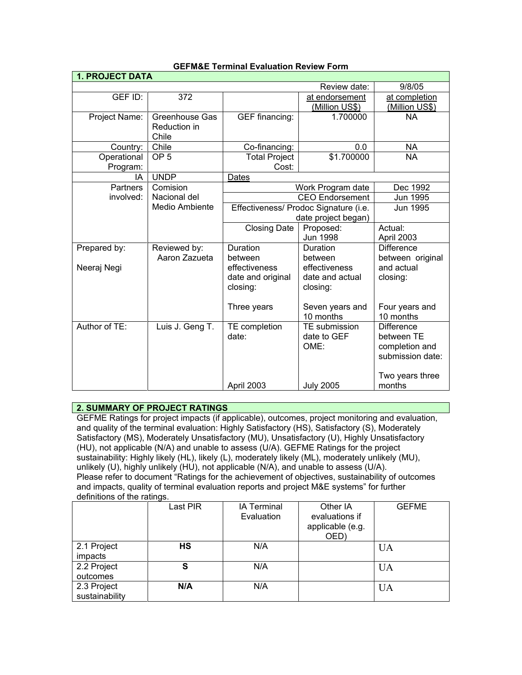| <b>1. PROJECT DATA</b>  |                                                |                                                              |                                              |                                                                       |
|-------------------------|------------------------------------------------|--------------------------------------------------------------|----------------------------------------------|-----------------------------------------------------------------------|
|                         |                                                |                                                              | Review date:                                 | 9/8/05                                                                |
| GEF ID:                 | 372                                            |                                                              | at endorsement<br>(Million US\$)             | at completion<br>(Million US\$)                                       |
| Project Name:           | <b>Greenhouse Gas</b><br>Reduction in<br>Chile | <b>GEF</b> financing:                                        | 1.700000                                     | <b>NA</b>                                                             |
| Country:                | Chile                                          | Co-financing:                                                | 0.0                                          | <b>NA</b>                                                             |
| Operational<br>Program: | OP <sub>5</sub>                                | <b>Total Project</b><br>Cost:                                | \$1.700000                                   | <b>NA</b>                                                             |
| IA                      | <b>UNDP</b>                                    | Dates                                                        |                                              |                                                                       |
| <b>Partners</b>         | Comision                                       | Work Program date                                            |                                              | Dec 1992<br>Jun 1995                                                  |
| involved:               | Nacional del                                   |                                                              | <b>CEO Endorsement</b>                       |                                                                       |
|                         | Medio Ambiente                                 | Effectiveness/ Prodoc Signature (i.e.<br>date project began) |                                              | Jun 1995                                                              |
|                         |                                                | <b>Closing Date</b>                                          | Proposed:<br><b>Jun 1998</b>                 | Actual:<br>April 2003                                                 |
| Prepared by:            | Reviewed by:<br>Aaron Zazueta                  | Duration<br>between                                          | Duration<br>between                          | <b>Difference</b><br>between original                                 |
| Neeraj Negi             |                                                | effectiveness<br>date and original<br>closing:               | effectiveness<br>date and actual<br>closing: | and actual<br>closing:                                                |
|                         |                                                | Three years                                                  | Seven years and<br>10 months                 | Four years and<br>10 months                                           |
| Author of TE:           | Luis J. Geng T.                                | TE completion<br>date:                                       | TE submission<br>date to GEF<br>OME:         | <b>Difference</b><br>between TE<br>completion and<br>submission date: |
|                         |                                                | April 2003                                                   | <b>July 2005</b>                             | Two years three<br>months                                             |

### **GEFM&E Terminal Evaluation Review Form**

### **2. SUMMARY OF PROJECT RATINGS**

GEFME Ratings for project impacts (if applicable), outcomes, project monitoring and evaluation, and quality of the terminal evaluation: Highly Satisfactory (HS), Satisfactory (S), Moderately Satisfactory (MS), Moderately Unsatisfactory (MU), Unsatisfactory (U), Highly Unsatisfactory (HU), not applicable (N/A) and unable to assess (U/A). GEFME Ratings for the project sustainability: Highly likely (HL), likely (L), moderately likely (ML), moderately unlikely (MU), unlikely (U), highly unlikely (HU), not applicable (N/A), and unable to assess (U/A). Please refer to document "Ratings for the achievement of objectives, sustainability of outcomes and impacts, quality of terminal evaluation reports and project M&E systems" for further definitions of the ratings.

|                               | Last PIR | <b>IA Terminal</b><br>Evaluation | Other IA<br>evaluations if<br>applicable (e.g.<br>OED) | <b>GEFME</b> |
|-------------------------------|----------|----------------------------------|--------------------------------------------------------|--------------|
| 2.1 Project<br>impacts        | HS       | N/A                              |                                                        | <b>UA</b>    |
| 2.2 Project<br>outcomes       | S        | N/A                              |                                                        | <b>UA</b>    |
| 2.3 Project<br>sustainability | N/A      | N/A                              |                                                        | <b>UA</b>    |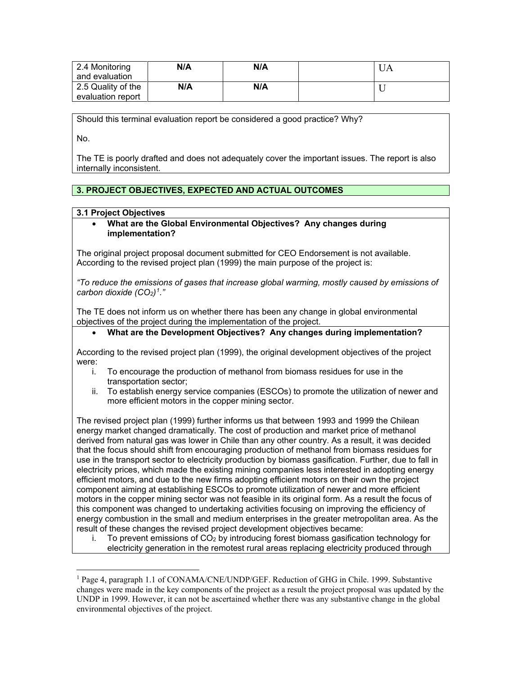| 2.4 Monitoring<br>and evaluation        | N/A | N/A | UΑ |
|-----------------------------------------|-----|-----|----|
| 2.5 Quality of the<br>evaluation report | N/A | N/A |    |

Should this terminal evaluation report be considered a good practice? Why?

No.

 $\overline{a}$ 

The TE is poorly drafted and does not adequately cover the important issues. The report is also internally inconsistent.

### **3. PROJECT OBJECTIVES, EXPECTED AND ACTUAL OUTCOMES**

### **3.1 Project Objectives**

#### • **What are the Global Environmental Objectives? Any changes during implementation?**

The original project proposal document submitted for CEO Endorsement is not available. According to the revised project plan (1999) the main purpose of the project is:

*"To reduce the emissions of gases that increase global warming, mostly caused by emissions of carbon dioxide (CO2)[1](#page-1-0)."*

The TE does not inform us on whether there has been any change in global environmental objectives of the project during the implementation of the project.

### • **What are the Development Objectives? Any changes during implementation?**

According to the revised project plan (1999), the original development objectives of the project were:

- i. To encourage the production of methanol from biomass residues for use in the transportation sector;
- ii. To establish energy service companies (ESCOs) to promote the utilization of newer and more efficient motors in the copper mining sector.

The revised project plan (1999) further informs us that between 1993 and 1999 the Chilean energy market changed dramatically. The cost of production and market price of methanol derived from natural gas was lower in Chile than any other country. As a result, it was decided that the focus should shift from encouraging production of methanol from biomass residues for use in the transport sector to electricity production by biomass gasification. Further, due to fall in electricity prices, which made the existing mining companies less interested in adopting energy efficient motors, and due to the new firms adopting efficient motors on their own the project component aiming at establishing ESCOs to promote utilization of newer and more efficient motors in the copper mining sector was not feasible in its original form. As a result the focus of this component was changed to undertaking activities focusing on improving the efficiency of energy combustion in the small and medium enterprises in the greater metropolitan area. As the result of these changes the revised project development objectives became:

i. To prevent emissions of  $CO<sub>2</sub>$  by introducing forest biomass gasification technology for electricity generation in the remotest rural areas replacing electricity produced through

<span id="page-1-0"></span><sup>1</sup> Page 4, paragraph 1.1 of CONAMA/CNE/UNDP/GEF. Reduction of GHG in Chile. 1999. Substantive changes were made in the key components of the project as a result the project proposal was updated by the UNDP in 1999. However, it can not be ascertained whether there was any substantive change in the global environmental objectives of the project.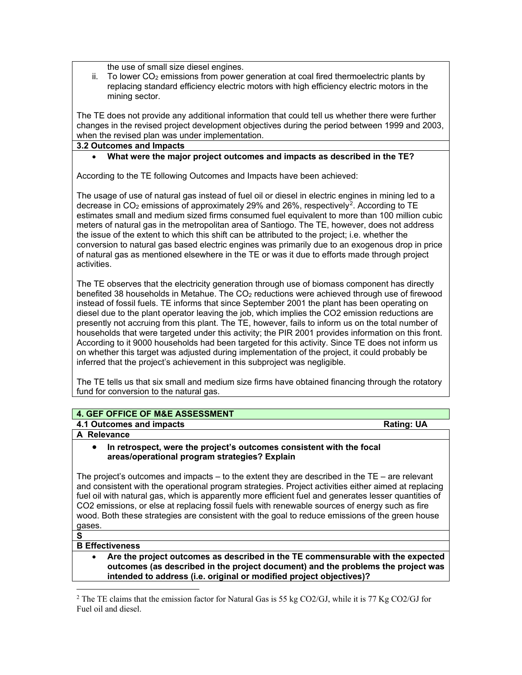the use of small size diesel engines.

ii. To lower  $CO<sub>2</sub>$  emissions from power generation at coal fired thermoelectric plants by replacing standard efficiency electric motors with high efficiency electric motors in the mining sector.

The TE does not provide any additional information that could tell us whether there were further changes in the revised project development objectives during the period between 1999 and 2003, when the revised plan was under implementation.

#### **3.2 Outcomes and Impacts**

• **What were the major project outcomes and impacts as described in the TE?**

According to the TE following Outcomes and Impacts have been achieved:

The usage of use of natural gas instead of fuel oil or diesel in electric engines in mining led to a decrease in  $CO<sub>2</sub>$  $CO<sub>2</sub>$  $CO<sub>2</sub>$  emissions of approximately 29% and 26%, respectively<sup>2</sup>. According to TE estimates small and medium sized firms consumed fuel equivalent to more than 100 million cubic meters of natural gas in the metropolitan area of Santiogo. The TE, however, does not address the issue of the extent to which this shift can be attributed to the project; i.e. whether the conversion to natural gas based electric engines was primarily due to an exogenous drop in price of natural gas as mentioned elsewhere in the TE or was it due to efforts made through project activities.

The TE observes that the electricity generation through use of biomass component has directly benefited 38 households in Metahue. The CO<sub>2</sub> reductions were achieved through use of firewood instead of fossil fuels. TE informs that since September 2001 the plant has been operating on diesel due to the plant operator leaving the job, which implies the CO2 emission reductions are presently not accruing from this plant. The TE, however, fails to inform us on the total number of households that were targeted under this activity; the PIR 2001 provides information on this front. According to it 9000 households had been targeted for this activity. Since TE does not inform us on whether this target was adjusted during implementation of the project, it could probably be inferred that the project's achievement in this subproject was negligible.

The TE tells us that six small and medium size firms have obtained financing through the rotatory fund for conversion to the natural gas.

## **4. GEF OFFICE OF M&E ASSESSMENT**

**4.1 Outcomes and impacts Rating: UA**

**A Relevance** 

#### • **In retrospect, were the project's outcomes consistent with the focal areas/operational program strategies? Explain**

The project's outcomes and impacts  $-$  to the extent they are described in the TE  $-$  are relevant and consistent with the operational program strategies. Project activities either aimed at replacing fuel oil with natural gas, which is apparently more efficient fuel and generates lesser quantities of CO2 emissions, or else at replacing fossil fuels with renewable sources of energy such as fire wood. Both these strategies are consistent with the goal to reduce emissions of the green house gases.

# **S**

 $\overline{a}$ 

### **B Effectiveness**

• **Are the project outcomes as described in the TE commensurable with the expected outcomes (as described in the project document) and the problems the project was intended to address (i.e. original or modified project objectives)?** 

<span id="page-2-0"></span><sup>&</sup>lt;sup>2</sup> The TE claims that the emission factor for Natural Gas is 55 kg CO2/GJ, while it is 77 Kg CO2/GJ for Fuel oil and diesel.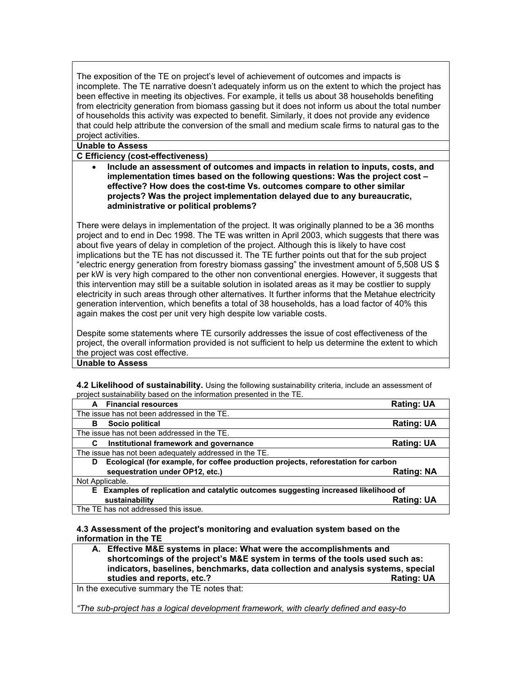The exposition of the TE on project's level of achievement of outcomes and impacts is incomplete. The TE narrative doesn't adequately inform us on the extent to which the project has been effective in meeting its objectives. For example, it tells us about 38 households benefiting from electricity generation from biomass gassing but it does not inform us about the total number of households this activity was expected to benefit. Similarly, it does not provide any evidence that could help attribute the conversion of the small and medium scale firms to natural gas to the project activities.

#### **Unable to Assess**

**C Efficiency (cost-effectiveness)** 

• **Include an assessment of outcomes and impacts in relation to inputs, costs, and implementation times based on the following questions: Was the project cost – effective? How does the cost-time Vs. outcomes compare to other similar projects? Was the project implementation delayed due to any bureaucratic, administrative or political problems?**

There were delays in implementation of the project. It was originally planned to be a 36 months project and to end in Dec 1998. The TE was written in April 2003, which suggests that there was about five years of delay in completion of the project. Although this is likely to have cost implications but the TE has not discussed it. The TE further points out that for the sub project "electric energy generation from forestry biomass gassing" the investment amount of 5,508 US \$ per kW is very high compared to the other non conventional energies. However, it suggests that this intervention may still be a suitable solution in isolated areas as it may be costlier to supply electricity in such areas through other alternatives. It further informs that the Metahue electricity generation intervention, which benefits a total of 38 households, has a load factor of 40% this again makes the cost per unit very high despite low variable costs.

Despite some statements where TE cursorily addresses the issue of cost effectiveness of the project, the overall information provided is not sufficient to help us determine the extent to which the project was cost effective.

#### **Unable to Assess**

**4.2 Likelihood of sustainability.** Using the following sustainability criteria, include an assessment of project sustainability based on the information presented in the TE.

| <b>Financial resources</b><br>A                                                        | <b>Rating: UA</b>                                                                   |  |  |
|----------------------------------------------------------------------------------------|-------------------------------------------------------------------------------------|--|--|
| The issue has not been addressed in the TE.                                            |                                                                                     |  |  |
| Socio political<br>в                                                                   | <b>Rating: UA</b>                                                                   |  |  |
| The issue has not been addressed in the TE.                                            |                                                                                     |  |  |
| Institutional framework and governance<br>C                                            | <b>Rating: UA</b>                                                                   |  |  |
| The issue has not been adequately addressed in the TE.                                 |                                                                                     |  |  |
| Ecological (for example, for coffee production projects, reforestation for carbon<br>D |                                                                                     |  |  |
| sequestration under OP12, etc.)                                                        | <b>Rating: NA</b>                                                                   |  |  |
| Not Applicable.                                                                        |                                                                                     |  |  |
|                                                                                        | E Examples of replication and catalytic outcomes suggesting increased likelihood of |  |  |
| sustainability                                                                         | <b>Rating: UA</b>                                                                   |  |  |
| The TE has not addressed this issue.                                                   |                                                                                     |  |  |

#### **4.3 Assessment of the project's monitoring and evaluation system based on the information in the TE**

**A. Effective M&E systems in place: What were the accomplishments and shortcomings of the project's M&E system in terms of the tools used such as: indicators, baselines, benchmarks, data collection and analysis systems, special studies and reports, etc.?** All the studies and reports, etc.? All the studies and reports, etc.? All the studies and reports, etc.? All the studies are studies and reports, etc...

In the executive summary the TE notes that:

*"The sub-project has a logical development framework, with clearly defined and easy-to*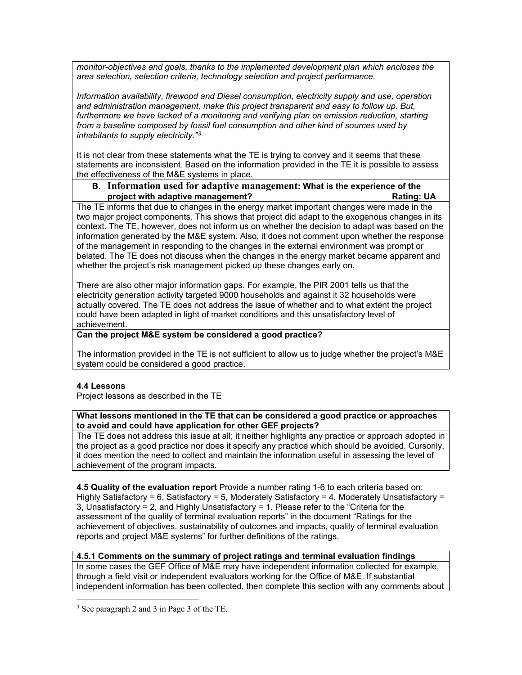*monitor-objectives and goals, thanks to the implemented development plan which encloses the area selection, selection criteria, technology selection and project performance.*

*Information availability, firewood and Diesel consumption, electricity supply and use, operation and administration management, make this project transparent and easy to follow up. But,*  furthermore we have lacked of a monitoring and verifying plan on emission reduction, starting *from a baseline composed by fossil fuel consumption and other kind of sources used by inhabitants to supply electricity."[3](#page-4-0)*

It is not clear from these statements what the TE is trying to convey and it seems that these statements are inconsistent. Based on the information provided in the TE it is possible to assess the effectiveness of the M&E systems in place.

### **B. Information used for adaptive management: What is the experience of the**  project with adaptive management?

The TE informs that due to changes in the energy market important changes were made in the two major project components. This shows that project did adapt to the exogenous changes in its context. The TE, however, does not inform us on whether the decision to adapt was based on the information generated by the M&E system. Also, it does not comment upon whether the response of the management in responding to the changes in the external environment was prompt or belated. The TE does not discuss when the changes in the energy market became apparent and whether the project's risk management picked up these changes early on.

There are also other major information gaps. For example, the PIR 2001 tells us that the electricity generation activity targeted 9000 households and against it 32 households were actually covered. The TE does not address the issue of whether and to what extent the project could have been adapted in light of market conditions and this unsatisfactory level of achievement.

### **Can the project M&E system be considered a good practice?**

The information provided in the TE is not sufficient to allow us to judge whether the project's M&E system could be considered a good practice.

### **4.4 Lessons**

 $\overline{a}$ 

Project lessons as described in the TE

### **What lessons mentioned in the TE that can be considered a good practice or approaches to avoid and could have application for other GEF projects?**

The TE does not address this issue at all; it neither highlights any practice or approach adopted in the project as a good practice nor does it specify any practice which should be avoided. Cursorily, it does mention the need to collect and maintain the information useful in assessing the level of achievement of the program impacts.

**4.5 Quality of the evaluation report** Provide a number rating 1-6 to each criteria based on: Highly Satisfactory = 6, Satisfactory = 5, Moderately Satisfactory = 4, Moderately Unsatisfactory = 3, Unsatisfactory = 2, and Highly Unsatisfactory = 1. Please refer to the "Criteria for the assessment of the quality of terminal evaluation reports" in the document "Ratings for the achievement of objectives, sustainability of outcomes and impacts, quality of terminal evaluation reports and project M&E systems" for further definitions of the ratings.

#### **4.5.1 Comments on the summary of project ratings and terminal evaluation findings** In some cases the GEF Office of M&E may have independent information collected for example, through a field visit or independent evaluators working for the Office of M&E. If substantial independent information has been collected, then complete this section with any comments about

<span id="page-4-0"></span><sup>3</sup> See paragraph 2 and 3 in Page 3 of the TE.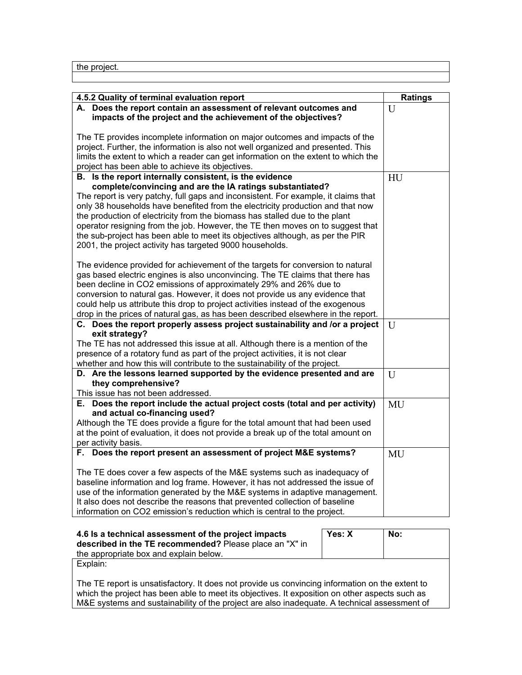the project.

| 4.5.2 Quality of terminal evaluation report                                                                          | <b>Ratings</b> |
|----------------------------------------------------------------------------------------------------------------------|----------------|
| A. Does the report contain an assessment of relevant outcomes and                                                    | U              |
| impacts of the project and the achievement of the objectives?                                                        |                |
|                                                                                                                      |                |
| The TE provides incomplete information on major outcomes and impacts of the                                          |                |
| project. Further, the information is also not well organized and presented. This                                     |                |
| limits the extent to which a reader can get information on the extent to which the                                   |                |
| project has been able to achieve its objectives.                                                                     |                |
| B. Is the report internally consistent, is the evidence<br>complete/convincing and are the IA ratings substantiated? | HU             |
| The report is very patchy, full gaps and inconsistent. For example, it claims that                                   |                |
| only 38 households have benefited from the electricity production and that now                                       |                |
| the production of electricity from the biomass has stalled due to the plant                                          |                |
| operator resigning from the job. However, the TE then moves on to suggest that                                       |                |
| the sub-project has been able to meet its objectives although, as per the PIR                                        |                |
| 2001, the project activity has targeted 9000 households.                                                             |                |
|                                                                                                                      |                |
| The evidence provided for achievement of the targets for conversion to natural                                       |                |
| gas based electric engines is also unconvincing. The TE claims that there has                                        |                |
| been decline in CO2 emissions of approximately 29% and 26% due to                                                    |                |
| conversion to natural gas. However, it does not provide us any evidence that                                         |                |
| could help us attribute this drop to project activities instead of the exogenous                                     |                |
| drop in the prices of natural gas, as has been described elsewhere in the report.                                    |                |
| C. Does the report properly assess project sustainability and /or a project<br>exit strategy?                        | $\overline{U}$ |
| The TE has not addressed this issue at all. Although there is a mention of the                                       |                |
| presence of a rotatory fund as part of the project activities, it is not clear                                       |                |
| whether and how this will contribute to the sustainability of the project.                                           |                |
| D. Are the lessons learned supported by the evidence presented and are                                               | U              |
| they comprehensive?                                                                                                  |                |
| This issue has not been addressed.                                                                                   |                |
| E. Does the report include the actual project costs (total and per activity)                                         | MU             |
| and actual co-financing used?                                                                                        |                |
| Although the TE does provide a figure for the total amount that had been used                                        |                |
| at the point of evaluation, it does not provide a break up of the total amount on<br>per activity basis.             |                |
| F. Does the report present an assessment of project M&E systems?                                                     | MU             |
|                                                                                                                      |                |
| The TE does cover a few aspects of the M&E systems such as inadequacy of                                             |                |
| baseline information and log frame. However, it has not addressed the issue of                                       |                |
| use of the information generated by the M&E systems in adaptive management.                                          |                |
| It also does not describe the reasons that prevented collection of baseline                                          |                |
| information on CO2 emission's reduction which is central to the project.                                             |                |
|                                                                                                                      |                |
| Yes: X<br>4.6 Is a technical assessment of the project impacts                                                       | No:            |

| 4.6 Is a technical assessment of the project impacts<br>described in the TE recommended? Please place an "X" in<br>the appropriate box and explain below.                                                                                                                                         | Yes: X | No: |  |
|---------------------------------------------------------------------------------------------------------------------------------------------------------------------------------------------------------------------------------------------------------------------------------------------------|--------|-----|--|
| Explain:                                                                                                                                                                                                                                                                                          |        |     |  |
| The TE report is unsatisfactory. It does not provide us convincing information on the extent to<br>which the project has been able to meet its objectives. It exposition on other aspects such as<br>M&E systems and sustainability of the project are also inadequate. A technical assessment of |        |     |  |